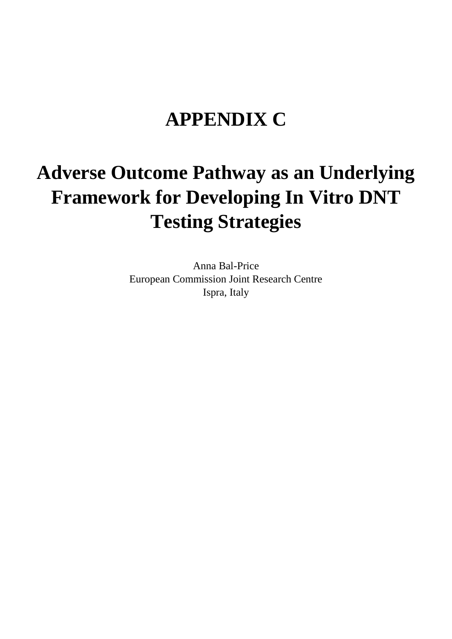## **APPENDIX C**

## **Adverse Outcome Pathway as an Underlying Framework for Developing In Vitro DNT Testing Strategies**

Anna Bal-Price European Commission Joint Research Centre Ispra, Italy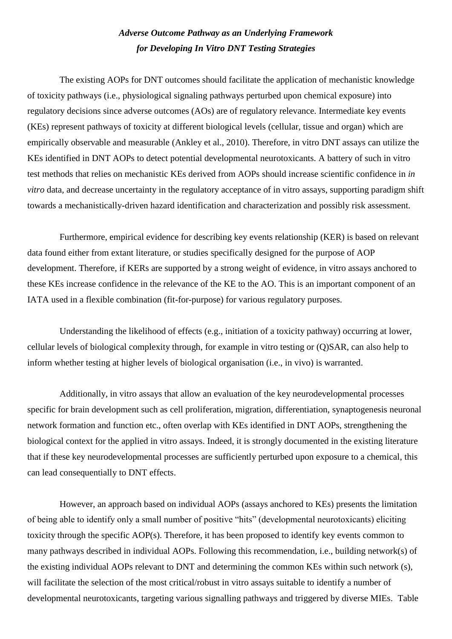## *Adverse Outcome Pathway as an Underlying Framework for Developing In Vitro DNT Testing Strategies*

The existing AOPs for DNT outcomes should facilitate the application of mechanistic knowledge of toxicity pathways (i.e., physiological signaling pathways perturbed upon chemical exposure) into regulatory decisions since adverse outcomes (AOs) are of regulatory relevance. Intermediate key events (KEs) represent pathways of toxicity at different biological levels (cellular, tissue and organ) which are empirically observable and measurable (Ankley et al., 2010). Therefore, in vitro DNT assays can utilize the KEs identified in DNT AOPs to detect potential developmental neurotoxicants. A battery of such in vitro test methods that relies on mechanistic KEs derived from AOPs should increase scientific confidence in *in vitro* data, and decrease uncertainty in the regulatory acceptance of in vitro assays, supporting paradigm shift towards a mechanistically-driven hazard identification and characterization and possibly risk assessment.

Furthermore, empirical evidence for describing key events relationship (KER) is based on relevant data found either from extant literature, or studies specifically designed for the purpose of AOP development. Therefore, if KERs are supported by a strong weight of evidence, in vitro assays anchored to these KEs increase confidence in the relevance of the KE to the AO. This is an important component of an IATA used in a flexible combination (fit-for-purpose) for various regulatory purposes.

Understanding the likelihood of effects (e.g., initiation of a toxicity pathway) occurring at lower, cellular levels of biological complexity through, for example in vitro testing or (Q)SAR, can also help to inform whether testing at higher levels of biological organisation (i.e., in vivo) is warranted.

Additionally, in vitro assays that allow an evaluation of the key neurodevelopmental processes specific for brain development such as cell proliferation, migration, differentiation, synaptogenesis neuronal network formation and function etc., often overlap with KEs identified in DNT AOPs, strengthening the biological context for the applied in vitro assays. Indeed, it is strongly documented in the existing literature that if these key neurodevelopmental processes are sufficiently perturbed upon exposure to a chemical, this can lead consequentially to DNT effects.

However, an approach based on individual AOPs (assays anchored to KEs) presents the limitation of being able to identify only a small number of positive "hits" (developmental neurotoxicants) eliciting toxicity through the specific AOP(s). Therefore, it has been proposed to identify key events common to many pathways described in individual AOPs. Following this recommendation, i.e., building network(s) of the existing individual AOPs relevant to DNT and determining the common KEs within such network (s), will facilitate the selection of the most critical/robust in vitro assays suitable to identify a number of developmental neurotoxicants, targeting various signalling pathways and triggered by diverse MIEs. Table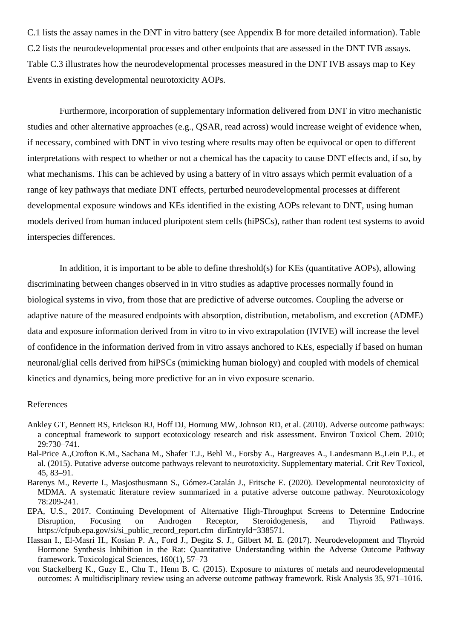C.1 lists the assay names in the DNT in vitro battery (see Appendix B for more detailed information). Table C.2 lists the neurodevelopmental processes and other endpoints that are assessed in the DNT IVB assays. Table C.3 illustrates how the neurodevelopmental processes measured in the DNT IVB assays map to Key Events in existing developmental neurotoxicity AOPs.

Furthermore, incorporation of supplementary information delivered from DNT in vitro mechanistic studies and other alternative approaches (e.g., QSAR, read across) would increase weight of evidence when, if necessary, combined with DNT in vivo testing where results may often be equivocal or open to different interpretations with respect to whether or not a chemical has the capacity to cause DNT effects and, if so, by what mechanisms. This can be achieved by using a battery of in vitro assays which permit evaluation of a range of key pathways that mediate DNT effects, perturbed neurodevelopmental processes at different developmental exposure windows and KEs identified in the existing AOPs relevant to DNT, using human models derived from human induced pluripotent stem cells (hiPSCs), rather than rodent test systems to avoid interspecies differences.

In addition, it is important to be able to define threshold(s) for KEs (quantitative AOPs), allowing discriminating between changes observed in in vitro studies as adaptive processes normally found in biological systems in vivo, from those that are predictive of adverse outcomes. Coupling the adverse or adaptive nature of the measured endpoints with absorption, distribution, metabolism, and excretion (ADME) data and exposure information derived from in vitro to in vivo extrapolation (IVIVE) will increase the level of confidence in the information derived from in vitro assays anchored to KEs, especially if based on human neuronal/glial cells derived from hiPSCs (mimicking human biology) and coupled with models of chemical kinetics and dynamics, being more predictive for an in vivo exposure scenario.

## References

- Ankley GT, Bennett RS, Erickson RJ, Hoff DJ, Hornung MW, Johnson RD, et al. (2010). Adverse outcome pathways: a conceptual framework to support ecotoxicology research and risk assessment. Environ Toxicol Chem. 2010; 29:730–741.
- Bal-Price A.,Crofton K.M., Sachana M., Shafer T.J., Behl M., Forsby A., Hargreaves A., Landesmann B.,Lein P.J., et al. (2015). Putative adverse outcome pathways relevant to neurotoxicity. Supplementary material. Crit Rev Toxicol, 45, 83–91.
- Barenys M., Reverte I., Masjosthusmann S., Gómez-Catalán J., Fritsche E. (2020). Developmental neurotoxicity of MDMA. A systematic literature review summarized in a putative adverse outcome pathway. Neurotoxicology 78:209-241.
- EPA, U.S., 2017. Continuing Development of Alternative High-Throughput Screens to Determine Endocrine Disruption, Focusing on Androgen Receptor, Steroidogenesis, and Thyroid Pathways. https://cfpub.epa.gov/si/si\_public\_record\_report.cfm dirEntryId=338571.
- Hassan I., El-Masri H., Kosian P. A., Ford J., Degitz S. J., Gilbert M. E. (2017). Neurodevelopment and Thyroid Hormone Synthesis Inhibition in the Rat: Quantitative Understanding within the Adverse Outcome Pathway framework. Toxicological Sciences, 160(1), 57–73
- von Stackelberg K., Guzy E., Chu T., Henn B. C. (2015). Exposure to mixtures of metals and neurodevelopmental outcomes: A multidisciplinary review using an adverse outcome pathway framework. Risk Analysis 35, 971–1016.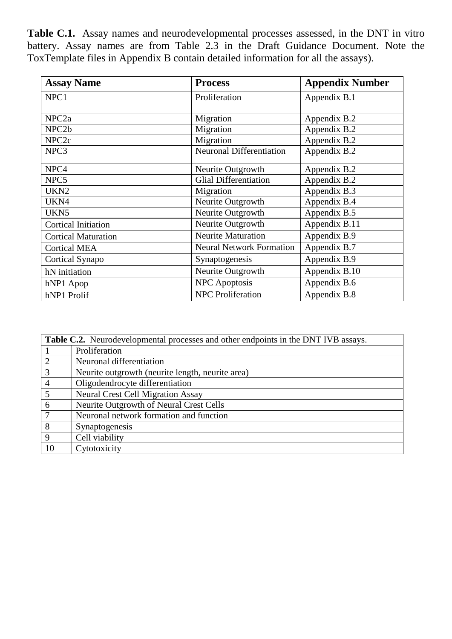**Table C.1.** Assay names and neurodevelopmental processes assessed, in the DNT in vitro battery. Assay names are from Table 2.3 in the Draft Guidance Document. Note the ToxTemplate files in Appendix B contain detailed information for all the assays).

| <b>Assay Name</b>          | <b>Process</b>                  | <b>Appendix Number</b> |
|----------------------------|---------------------------------|------------------------|
| NPC1                       | Proliferation                   | Appendix B.1           |
|                            |                                 |                        |
| NPC <sub>2a</sub>          | Migration                       | Appendix B.2           |
| NPC <sub>2b</sub>          | Migration                       | Appendix B.2           |
| NPC <sub>2c</sub>          | Migration                       | Appendix B.2           |
| NPC3                       | Neuronal Differentiation        | Appendix B.2           |
| NPC4                       | Neurite Outgrowth               | Appendix B.2           |
| NPC5                       | <b>Glial Differentiation</b>    | Appendix B.2           |
| UKN <sub>2</sub>           | Migration                       | Appendix B.3           |
| UKN4                       | Neurite Outgrowth               | Appendix B.4           |
| UKN5                       | Neurite Outgrowth               | Appendix B.5           |
| <b>Cortical Initiation</b> | Neurite Outgrowth               | Appendix B.11          |
| <b>Cortical Maturation</b> | <b>Neurite Maturation</b>       | Appendix B.9           |
| <b>Cortical MEA</b>        | <b>Neural Network Formation</b> | Appendix B.7           |
| Cortical Synapo            | Synaptogenesis                  | Appendix B.9           |
| hN initiation              | Neurite Outgrowth               | Appendix B.10          |
| hNP1 Apop                  | <b>NPC</b> Apoptosis            | Appendix B.6           |
| hNP1 Prolif                | <b>NPC</b> Proliferation        | Appendix B.8           |

|                | <b>Table C.2.</b> Neurodevelopmental processes and other endpoints in the DNT IVB assays. |
|----------------|-------------------------------------------------------------------------------------------|
|                | Proliferation                                                                             |
| 2              | Neuronal differentiation                                                                  |
| 3              | Neurite outgrowth (neurite length, neurite area)                                          |
| $\overline{4}$ | Oligodendrocyte differentiation                                                           |
| 5              | <b>Neural Crest Cell Migration Assay</b>                                                  |
| 6              | Neurite Outgrowth of Neural Crest Cells                                                   |
| $\overline{7}$ | Neuronal network formation and function                                                   |
| 8              | Synaptogenesis                                                                            |
| 9              | Cell viability                                                                            |
| 10             | Cytotoxicity                                                                              |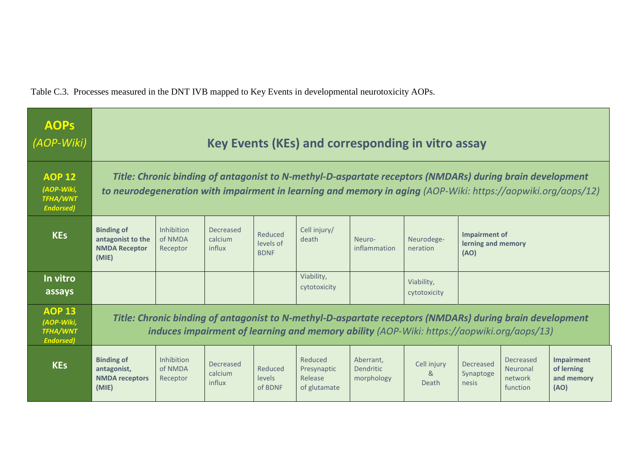Table C.3. Processes measured in the DNT IVB mapped to Key Events in developmental neurotoxicity AOPs.

| <b>AOPS</b><br>(AOP-Wiki)                                          | Key Events (KEs) and corresponding in vitro assay                                                                                                                                                                        |                                                                                                                                                                                                       |                                       |                                     |                                                   |                                             |                                        |                                 |                                                     |                                                       |  |  |  |
|--------------------------------------------------------------------|--------------------------------------------------------------------------------------------------------------------------------------------------------------------------------------------------------------------------|-------------------------------------------------------------------------------------------------------------------------------------------------------------------------------------------------------|---------------------------------------|-------------------------------------|---------------------------------------------------|---------------------------------------------|----------------------------------------|---------------------------------|-----------------------------------------------------|-------------------------------------------------------|--|--|--|
| <b>AOP 12</b><br>(AOP-Wiki,<br><b>TFHA/WNT</b><br><b>Endorsed)</b> | Title: Chronic binding of antagonist to N-methyl-D-aspartate receptors (NMDARs) during brain development<br>to neurodegeneration with impairment in learning and memory in aging (AOP-Wiki: https://aopwiki.org/aops/12) |                                                                                                                                                                                                       |                                       |                                     |                                                   |                                             |                                        |                                 |                                                     |                                                       |  |  |  |
| <b>KEs</b>                                                         | <b>Binding of</b><br>antagonist to the<br><b>NMDA Receptor</b><br>(MIE)                                                                                                                                                  | Inhibition<br>of NMDA<br>Receptor                                                                                                                                                                     | Decreased<br>calcium<br>influx        | Reduced<br>levels of<br><b>BDNF</b> | Cell injury/<br>death                             | Neuro-<br>inflammation                      | Neurodege-<br>neration                 | (AO)                            | Impairment of<br>lerning and memory                 |                                                       |  |  |  |
| In vitro<br>assays                                                 |                                                                                                                                                                                                                          |                                                                                                                                                                                                       |                                       |                                     | Viability,<br>cytotoxicity                        |                                             | Viability,<br>cytotoxicity             |                                 |                                                     |                                                       |  |  |  |
| <b>AOP 13</b><br>(AOP-Wiki,<br><b>TFHA/WNT</b><br><b>Endorsed)</b> |                                                                                                                                                                                                                          | Title: Chronic binding of antagonist to N-methyl-D-aspartate receptors (NMDARs) during brain development<br>induces impairment of learning and memory ability (AOP-Wiki: https://aopwiki.org/aops/13) |                                       |                                     |                                                   |                                             |                                        |                                 |                                                     |                                                       |  |  |  |
| <b>KEs</b>                                                         | <b>Binding of</b><br>antagonist,<br><b>NMDA</b> receptors<br>(MIE)                                                                                                                                                       | Inhibition<br>of NMDA<br>Receptor                                                                                                                                                                     | <b>Decreased</b><br>calcium<br>influx | Reduced<br><b>levels</b><br>of BDNF | Reduced<br>Presynaptic<br>Release<br>of glutamate | Aberrant,<br><b>Dendritic</b><br>morphology | Cell injury<br>8 <sub>k</sub><br>Death | Decreased<br>Synaptoge<br>nesis | <b>Decreased</b><br>Neuronal<br>network<br>function | <b>Impairment</b><br>of lerning<br>and memory<br>(AO) |  |  |  |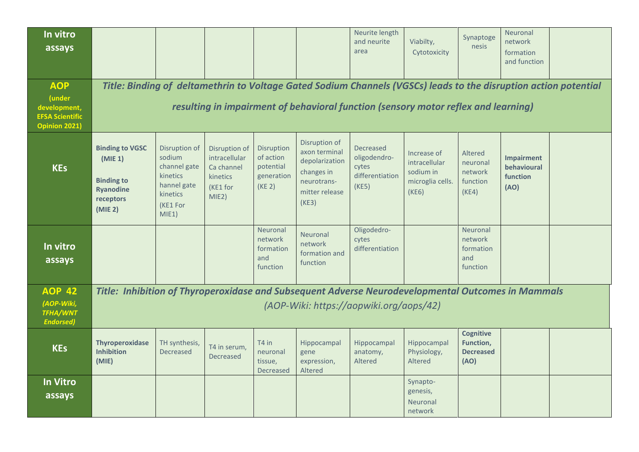| In vitro<br>assays                                                                     |                                                                                                    |                                                                                                     |                                                                               |                                                              |                                                                                                          | Neurite length<br>and neurite<br>area                          | Viabilty,<br>Cytotoxicity                                                                                                                                                                              | Synaptoge<br>nesis                                        | Neuronal<br>network<br>formation<br>and function     |  |
|----------------------------------------------------------------------------------------|----------------------------------------------------------------------------------------------------|-----------------------------------------------------------------------------------------------------|-------------------------------------------------------------------------------|--------------------------------------------------------------|----------------------------------------------------------------------------------------------------------|----------------------------------------------------------------|--------------------------------------------------------------------------------------------------------------------------------------------------------------------------------------------------------|-----------------------------------------------------------|------------------------------------------------------|--|
| <b>AOP</b><br>(under<br>development,<br><b>EFSA Scientific</b><br><b>Opinion 2021)</b> |                                                                                                    |                                                                                                     |                                                                               |                                                              |                                                                                                          |                                                                | Title: Binding of deltamethrin to Voltage Gated Sodium Channels (VGSCs) leads to the disruption action potential<br>resulting in impairment of behavioral function (sensory motor reflex and learning) |                                                           |                                                      |  |
| <b>KEs</b>                                                                             | <b>Binding to VGSC</b><br>(MIE 1)<br><b>Binding to</b><br><b>Ryanodine</b><br>receptors<br>(MIE 2) | Disruption of<br>sodium<br>channel gate<br>kinetics<br>hannel gate<br>kinetics<br>(KE1 For<br>MIE1) | Disruption of<br>intracellular<br>Ca channel<br>kinetics<br>(KE1 for<br>MIE2) | Disruption<br>of action<br>potential<br>generation<br>(KE 2) | Disruption of<br>axon terminal<br>depolarization<br>changes in<br>neurotrans-<br>mitter release<br>(KE3) | Decreased<br>oligodendro-<br>cytes<br>differentiation<br>(KE5) | Increase of<br>intracellular<br>sodium in<br>microglia cells.<br>(KE6)                                                                                                                                 | Altered<br>neuronal<br>network<br>function<br>(KE4)       | <b>Impairment</b><br>behavioural<br>function<br>(AO) |  |
| In vitro<br>assays                                                                     |                                                                                                    |                                                                                                     |                                                                               | Neuronal<br>network<br>formation<br>and<br>function          | Neuronal<br>network<br>formation and<br>function                                                         | Oligodedro-<br>cytes<br>differentiation                        |                                                                                                                                                                                                        | Neuronal<br>network<br>formation<br>and<br>function       |                                                      |  |
| <b>AOP 42</b><br>(AOP-Wiki,<br><b>TFHA/WNT</b><br><b>Endorsed)</b>                     | Title: Inhibition of Thyroperoxidase and Subsequent Adverse Neurodevelopmental Outcomes in Mammals |                                                                                                     |                                                                               |                                                              |                                                                                                          | (AOP-Wiki: https://aopwiki.org/aops/42)                        |                                                                                                                                                                                                        |                                                           |                                                      |  |
| <b>KEs</b>                                                                             | Thyroperoxidase<br><b>Inhibition</b><br>(MIE)                                                      | TH synthesis,<br><b>Decreased</b>                                                                   | T4 in serum,<br>Decreased                                                     | T4 in<br>neuronal<br>tissue,<br>Decreased                    | Hippocampal<br>gene<br>expression,<br>Altered                                                            | Hippocampal<br>anatomy,<br>Altered                             | Hippocampal<br>Physiology,<br>Altered                                                                                                                                                                  | <b>Cognitive</b><br>Function,<br><b>Decreased</b><br>(AO) |                                                      |  |
| <b>In Vitro</b><br>assays                                                              |                                                                                                    |                                                                                                     |                                                                               |                                                              |                                                                                                          |                                                                | Synapto-<br>genesis,<br>Neuronal<br>network                                                                                                                                                            |                                                           |                                                      |  |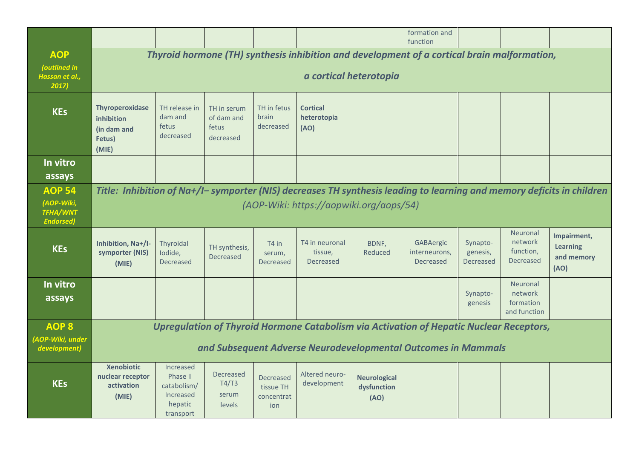|                                                                    |                                                                                                                                                                   |                                                                                  |                                                 |                                                    |                                        |                                            | formation and<br>function                                                                                                                                |                                   |                                                  |                                                      |  |
|--------------------------------------------------------------------|-------------------------------------------------------------------------------------------------------------------------------------------------------------------|----------------------------------------------------------------------------------|-------------------------------------------------|----------------------------------------------------|----------------------------------------|--------------------------------------------|----------------------------------------------------------------------------------------------------------------------------------------------------------|-----------------------------------|--------------------------------------------------|------------------------------------------------------|--|
| <b>AOP</b><br>(outlined in<br>Hassan et al.,<br>2017               | Thyroid hormone (TH) synthesis inhibition and development of a cortical brain malformation,<br>a cortical heterotopia                                             |                                                                                  |                                                 |                                                    |                                        |                                            |                                                                                                                                                          |                                   |                                                  |                                                      |  |
| <b>KEs</b>                                                         | <b>Thyroperoxidase</b><br>inhibition<br>(in dam and<br>Fetus)<br>(MIE)                                                                                            | TH release in<br>dam and<br>fetus<br>decreased                                   | TH in serum<br>of dam and<br>fetus<br>decreased | TH in fetus<br>brain<br>decreased                  | <b>Cortical</b><br>heterotopia<br>(AO) |                                            |                                                                                                                                                          |                                   |                                                  |                                                      |  |
| In vitro<br>assays                                                 |                                                                                                                                                                   |                                                                                  |                                                 |                                                    |                                        |                                            |                                                                                                                                                          |                                   |                                                  |                                                      |  |
| <b>AOP 54</b><br>(AOP-Wiki,<br><b>TFHA/WNT</b><br><b>Endorsed)</b> | Title: Inhibition of Na+/I- symporter (NIS) decreases TH synthesis leading to learning and memory deficits in children<br>(AOP-Wiki: https://aopwiki.org/aops/54) |                                                                                  |                                                 |                                                    |                                        |                                            |                                                                                                                                                          |                                   |                                                  |                                                      |  |
| <b>KEs</b>                                                         | Inhibition, Na+/I-<br>symporter (NIS)<br>(MIE)                                                                                                                    | Thyroidal<br>lodide,<br>Decreased                                                | TH synthesis,<br>Decreased                      | T4 in<br>serum,<br>Decreased                       | T4 in neuronal<br>tissue,<br>Decreased | BDNF,<br>Reduced                           | GABAergic<br>interneurons,<br>Decreased                                                                                                                  | Synapto-<br>genesis,<br>Decreased | Neuronal<br>network<br>function,<br>Decreased    | Impairment,<br><b>Learning</b><br>and memory<br>(AO) |  |
| In vitro<br>assays                                                 |                                                                                                                                                                   |                                                                                  |                                                 |                                                    |                                        |                                            |                                                                                                                                                          | Synapto-<br>genesis               | Neuronal<br>network<br>formation<br>and function |                                                      |  |
| <b>AOP 8</b><br>(AOP-Wiki, under<br>development)                   |                                                                                                                                                                   |                                                                                  |                                                 |                                                    |                                        |                                            | Upregulation of Thyroid Hormone Catabolism via Activation of Hepatic Nuclear Receptors,<br>and Subsequent Adverse Neurodevelopmental Outcomes in Mammals |                                   |                                                  |                                                      |  |
| <b>KEs</b>                                                         | <b>Xenobiotic</b><br>nuclear receptor<br>activation<br>(MIE)                                                                                                      | Increased<br><b>Phase II</b><br>catabolism/<br>Increased<br>hepatic<br>transport | Decreased<br>T4/T3<br>serum<br>levels           | <b>Decreased</b><br>tissue TH<br>concentrat<br>ion | Altered neuro-<br>development          | <b>Neurological</b><br>dysfunction<br>(AO) |                                                                                                                                                          |                                   |                                                  |                                                      |  |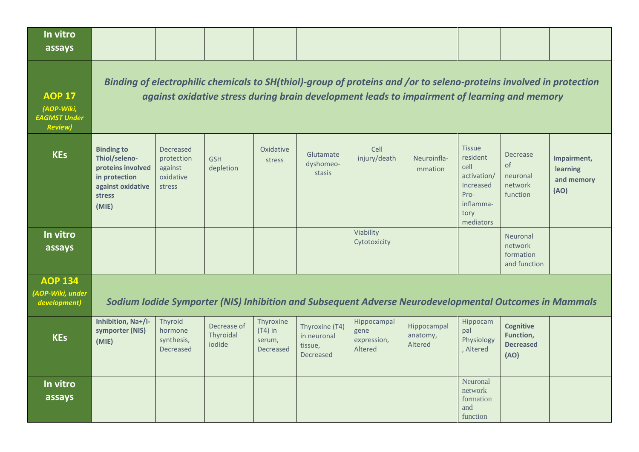| In vitro<br>assays                                                    |                                                                                                                                                                                                                     |                                                           |                                    |                                               |                                                              |                                               |                                                                                                        |                                                                                                         |                                                           |                                               |  |  |
|-----------------------------------------------------------------------|---------------------------------------------------------------------------------------------------------------------------------------------------------------------------------------------------------------------|-----------------------------------------------------------|------------------------------------|-----------------------------------------------|--------------------------------------------------------------|-----------------------------------------------|--------------------------------------------------------------------------------------------------------|---------------------------------------------------------------------------------------------------------|-----------------------------------------------------------|-----------------------------------------------|--|--|
| <b>AOP 17</b><br>(AOP-Wiki,<br><b>EAGMST Under</b><br><b>Review</b> ) | Binding of electrophilic chemicals to SH(thiol)-group of proteins and /or to seleno-proteins involved in protection<br>against oxidative stress during brain development leads to impairment of learning and memory |                                                           |                                    |                                               |                                                              |                                               |                                                                                                        |                                                                                                         |                                                           |                                               |  |  |
| <b>KEs</b>                                                            | <b>Binding to</b><br>Thiol/seleno-<br>proteins involved<br>in protection<br>against oxidative<br>stress<br>(MIE)                                                                                                    | Decreased<br>protection<br>against<br>oxidative<br>stress | <b>GSH</b><br>depletion            | Oxidative<br>stress                           | Glutamate<br>dyshomeo-<br>stasis                             | Cell<br>injury/death                          | Neuroinfla-<br>mmation                                                                                 | <b>Tissue</b><br>resident<br>cell<br>activation/<br>Increased<br>Pro-<br>inflamma-<br>tory<br>mediators | <b>Decrease</b><br>of<br>neuronal<br>network<br>function  | Impairment,<br>learning<br>and memory<br>(AO) |  |  |
| In vitro<br>assays                                                    |                                                                                                                                                                                                                     |                                                           |                                    |                                               |                                                              | Viability<br>Cytotoxicity                     |                                                                                                        |                                                                                                         | Neuronal<br>network<br>formation<br>and function          |                                               |  |  |
| <b>AOP 134</b><br>(AOP-Wiki, under<br>development)                    |                                                                                                                                                                                                                     |                                                           |                                    |                                               |                                                              |                                               | Sodium Iodide Symporter (NIS) Inhibition and Subsequent Adverse Neurodevelopmental Outcomes in Mammals |                                                                                                         |                                                           |                                               |  |  |
| <b>KEs</b>                                                            | Inhibition, Na+/I-<br>symporter (NIS)<br>(MIE)                                                                                                                                                                      | Thyroid<br>hormone<br>synthesis,<br><b>Decreased</b>      | Decrease of<br>Thyroidal<br>iodide | Thyroxine<br>$(T4)$ in<br>serum,<br>Decreased | Thyroxine (T4)<br>in neuronal<br>tissue,<br><b>Decreased</b> | Hippocampal<br>gene<br>expression,<br>Altered | Hippocampal<br>anatomy,<br>Altered                                                                     | Hippocam<br>pal<br>Physiology<br>, Altered                                                              | <b>Cognitive</b><br>Function,<br><b>Decreased</b><br>(AO) |                                               |  |  |
| In vitro<br>assays                                                    |                                                                                                                                                                                                                     |                                                           |                                    |                                               |                                                              |                                               |                                                                                                        | Neuronal<br>network<br>formation<br>and<br>function                                                     |                                                           |                                               |  |  |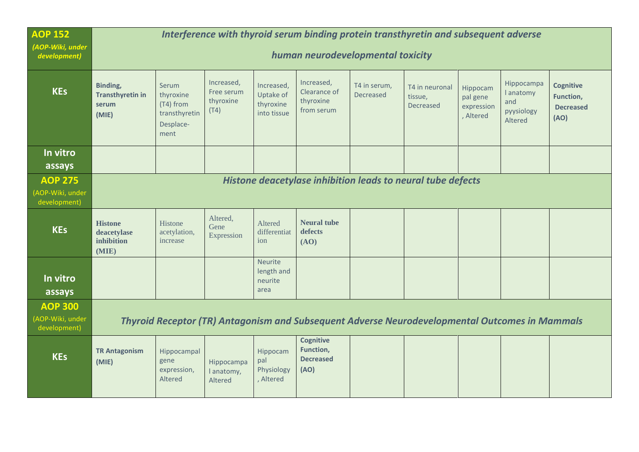| <b>AOP 152</b><br>(AOP-Wiki, under<br>development) | Interference with thyroid serum binding protein transthyretin and subsequent adverse<br>human neurodevelopmental toxicity |                                                                       |                                               |                                                     |                                                       |                                  |                                                                                                |                                                 |                                                                |                                                           |  |
|----------------------------------------------------|---------------------------------------------------------------------------------------------------------------------------|-----------------------------------------------------------------------|-----------------------------------------------|-----------------------------------------------------|-------------------------------------------------------|----------------------------------|------------------------------------------------------------------------------------------------|-------------------------------------------------|----------------------------------------------------------------|-----------------------------------------------------------|--|
| <b>KEs</b>                                         | Binding,<br><b>Transthyretin in</b><br>serum<br>(MIE)                                                                     | Serum<br>thyroxine<br>(T4) from<br>transthyretin<br>Desplace-<br>ment | Increased,<br>Free serum<br>thyroxine<br>(T4) | Increased,<br>Uptake of<br>thyroxine<br>into tissue | Increased,<br>Clearance of<br>thyroxine<br>from serum | T4 in serum,<br><b>Decreased</b> | T4 in neuronal<br>tissue,<br>Decreased                                                         | Hippocam<br>pal gene<br>expression<br>, Altered | Hippocampa<br><b>l</b> anatomy<br>and<br>pyysiology<br>Altered | <b>Cognitive</b><br>Function,<br><b>Decreased</b><br>(AO) |  |
| In vitro<br>assays                                 |                                                                                                                           |                                                                       |                                               |                                                     |                                                       |                                  |                                                                                                |                                                 |                                                                |                                                           |  |
| <b>AOP 275</b><br>(AOP-Wiki, under<br>development) |                                                                                                                           |                                                                       |                                               |                                                     |                                                       |                                  | Histone deacetylase inhibition leads to neural tube defects                                    |                                                 |                                                                |                                                           |  |
| <b>KEs</b>                                         | <b>Histone</b><br>deacetylase<br>inhibition<br>(MIE)                                                                      | Histone<br>acetylation,<br>increase                                   | Altered,<br>Gene<br>Expression                | Altered<br>differentiat<br>ion                      | <b>Neural tube</b><br>defects<br>(AO)                 |                                  |                                                                                                |                                                 |                                                                |                                                           |  |
| In vitro<br>assays                                 |                                                                                                                           |                                                                       |                                               | Neurite<br>length and<br>neurite<br>area            |                                                       |                                  |                                                                                                |                                                 |                                                                |                                                           |  |
| <b>AOP 300</b><br>(AOP-Wiki, under<br>development) |                                                                                                                           |                                                                       |                                               |                                                     |                                                       |                                  | Thyroid Receptor (TR) Antagonism and Subsequent Adverse Neurodevelopmental Outcomes in Mammals |                                                 |                                                                |                                                           |  |
| <b>KEs</b>                                         | <b>TR Antagonism</b><br>(MIE)                                                                                             | Hippocampal<br>gene<br>expression,<br>Altered                         | Hippocampa<br>I anatomy,<br>Altered           | Hippocam<br>pal<br>Physiology<br>, Altered          | Cognitive<br>Function,<br><b>Decreased</b><br>(AO)    |                                  |                                                                                                |                                                 |                                                                |                                                           |  |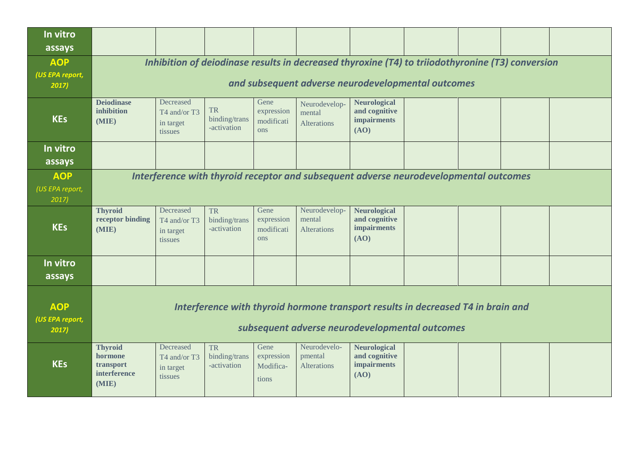| In vitro<br>assays                     |                                                                                                                                                        |                                                                                                                                    |                                           |                                                |                                               |                                                                    |  |  |  |  |  |  |
|----------------------------------------|--------------------------------------------------------------------------------------------------------------------------------------------------------|------------------------------------------------------------------------------------------------------------------------------------|-------------------------------------------|------------------------------------------------|-----------------------------------------------|--------------------------------------------------------------------|--|--|--|--|--|--|
| <b>AOP</b><br>(US EPA report,<br>2017) | Inhibition of deiodinase results in decreased thyroxine (T4) to triiodothyronine (T3) conversion<br>and subsequent adverse neurodevelopmental outcomes |                                                                                                                                    |                                           |                                                |                                               |                                                                    |  |  |  |  |  |  |
| <b>KEs</b>                             | <b>Deiodinase</b><br>inhibition<br>(MIE)                                                                                                               | Decreased<br>T4 and/or T3<br>in target<br>tissues                                                                                  | <b>TR</b><br>binding/trans<br>-activation | Gene<br>expression<br>modificati<br>ons        | Neurodevelop-<br>mental<br><b>Alterations</b> | <b>Neurological</b><br>and cognitive<br><b>impairments</b><br>(AO) |  |  |  |  |  |  |
| In vitro<br>assays                     |                                                                                                                                                        |                                                                                                                                    |                                           |                                                |                                               |                                                                    |  |  |  |  |  |  |
| <b>AOP</b><br>(US EPA report,<br>2017) |                                                                                                                                                        | Interference with thyroid receptor and subsequent adverse neurodevelopmental outcomes                                              |                                           |                                                |                                               |                                                                    |  |  |  |  |  |  |
| <b>KEs</b>                             | <b>Thyroid</b><br>receptor binding<br>(MIE)                                                                                                            | Decreased<br>T4 and/or T3<br>in target<br>tissues                                                                                  | <b>TR</b><br>binding/trans<br>-activation | Gene<br>expression<br>modificati<br><b>ons</b> | Neurodevelop-<br>mental<br><b>Alterations</b> | <b>Neurological</b><br>and cognitive<br><b>impairments</b><br>(AO) |  |  |  |  |  |  |
| In vitro<br>assays                     |                                                                                                                                                        |                                                                                                                                    |                                           |                                                |                                               |                                                                    |  |  |  |  |  |  |
| <b>AOP</b><br>(US EPA report,<br>2017  |                                                                                                                                                        | Interference with thyroid hormone transport results in decreased T4 in brain and<br>subsequent adverse neurodevelopmental outcomes |                                           |                                                |                                               |                                                                    |  |  |  |  |  |  |
| <b>KEs</b>                             | <b>Thyroid</b><br>hormone<br>transport<br>interference<br>(MIE)                                                                                        | Decreased<br>T4 and/or T3<br>in target<br>tissues                                                                                  | <b>TR</b><br>binding/trans<br>-activation | Gene<br>expression<br>Modifica-<br>tions       | Neurodevelo-<br>pmental<br><b>Alterations</b> | <b>Neurological</b><br>and cognitive<br><b>impairments</b><br>(AO) |  |  |  |  |  |  |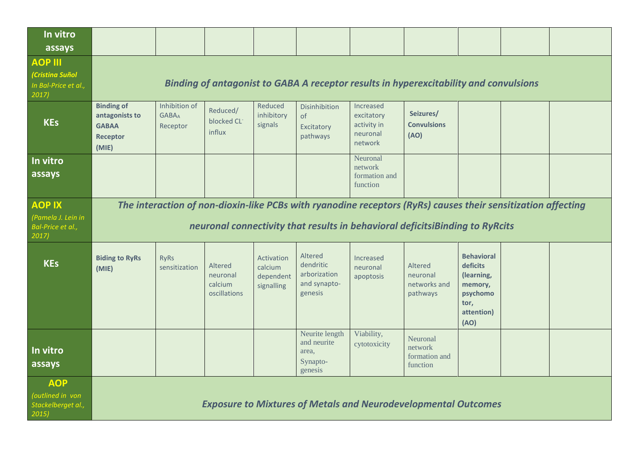| In vitro<br>assays                                                   |                                                                                 |                                                                                                                                                                                              |                                                |                                                  |                                                                 |                                                               |                                                                                              |                                                                                                  |  |  |  |  |
|----------------------------------------------------------------------|---------------------------------------------------------------------------------|----------------------------------------------------------------------------------------------------------------------------------------------------------------------------------------------|------------------------------------------------|--------------------------------------------------|-----------------------------------------------------------------|---------------------------------------------------------------|----------------------------------------------------------------------------------------------|--------------------------------------------------------------------------------------------------|--|--|--|--|
| <b>AOP III</b><br>(Cristina Suñol<br>In Bal-Price et al.,<br>2017)   |                                                                                 |                                                                                                                                                                                              |                                                |                                                  |                                                                 |                                                               | <b>Binding of antagonist to GABA A receptor results in hyperexcitability and convulsions</b> |                                                                                                  |  |  |  |  |
| <b>KEs</b>                                                           | <b>Binding of</b><br>antagonists to<br><b>GABAA</b><br><b>Receptor</b><br>(MIE) | Inhibition of<br><b>GABAA</b><br>Receptor                                                                                                                                                    | Reduced/<br>blocked CL <sup>-</sup><br>influx  | Reduced<br>inhibitory<br>signals                 | Disinhibition<br>of<br>Excitatory<br>pathways                   | Increased<br>excitatory<br>activity in<br>neuronal<br>network | Seizures/<br><b>Convulsions</b><br>(AO)                                                      |                                                                                                  |  |  |  |  |
| In vitro<br>assays                                                   |                                                                                 |                                                                                                                                                                                              |                                                |                                                  |                                                                 | Neuronal<br>network<br>formation and<br>function              |                                                                                              |                                                                                                  |  |  |  |  |
| <b>AOP IX</b><br>(Pamela J. Lein in<br>Bal-Price et al.,<br>$2017$ ) |                                                                                 | The interaction of non-dioxin-like PCBs with ryanodine receptors (RyRs) causes their sensitization affecting<br>neuronal connectivity that results in behavioral deficitsiBinding to RyRcits |                                                |                                                  |                                                                 |                                                               |                                                                                              |                                                                                                  |  |  |  |  |
| <b>KEs</b>                                                           | <b>Biding to RyRs</b><br>(MIE)                                                  | <b>RyRs</b><br>sensitization                                                                                                                                                                 | Altered<br>neuronal<br>calcium<br>oscillations | Activation<br>calcium<br>dependent<br>signalling | Altered<br>dendritic<br>arborization<br>and synapto-<br>genesis | Increased<br>neuronal<br>apoptosis                            | Altered<br>neuronal<br>networks and<br>pathways                                              | <b>Behavioral</b><br>deficits<br>(learning,<br>memory,<br>psychomo<br>tor,<br>attention)<br>(AO) |  |  |  |  |
| In vitro<br>assays                                                   |                                                                                 |                                                                                                                                                                                              |                                                |                                                  | Neurite length<br>and neurite<br>area,<br>Synapto-<br>genesis   | Viability,<br>cytotoxicity                                    | Neuronal<br>network<br>formation and<br>function                                             |                                                                                                  |  |  |  |  |
| <b>AOP</b><br>(outlined in von<br>Stackelberget al.,<br>2015)        | <b>Exposure to Mixtures of Metals and Neurodevelopmental Outcomes</b>           |                                                                                                                                                                                              |                                                |                                                  |                                                                 |                                                               |                                                                                              |                                                                                                  |  |  |  |  |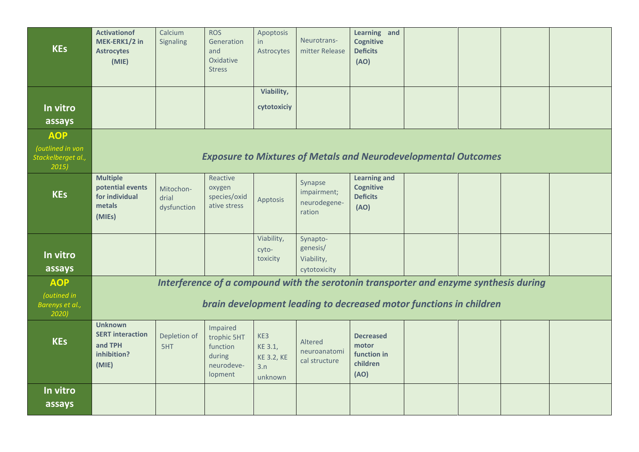| <b>KEs</b>                                      | <b>Activationof</b><br>MEK-ERK1/2 in<br><b>Astrocytes</b><br>(MIE)           | Calcium<br>Signaling              | <b>ROS</b><br>Generation<br>and<br>Oxidative<br><b>Stress</b>          | Apoptosis<br>in<br>Astrocytes                         | Neurotrans-<br>mitter Release                    | Learning and<br><b>Cognitive</b><br><b>Deficits</b><br>(AO)                           |  |  |
|-------------------------------------------------|------------------------------------------------------------------------------|-----------------------------------|------------------------------------------------------------------------|-------------------------------------------------------|--------------------------------------------------|---------------------------------------------------------------------------------------|--|--|
|                                                 |                                                                              |                                   |                                                                        | Viability,                                            |                                                  |                                                                                       |  |  |
| In vitro                                        |                                                                              |                                   |                                                                        | cytotoxiciy                                           |                                                  |                                                                                       |  |  |
|                                                 |                                                                              |                                   |                                                                        |                                                       |                                                  |                                                                                       |  |  |
| assays                                          |                                                                              |                                   |                                                                        |                                                       |                                                  |                                                                                       |  |  |
| <b>AOP</b>                                      |                                                                              |                                   |                                                                        |                                                       |                                                  |                                                                                       |  |  |
| (outlined in von<br>Stackelberget al.,<br>2015) |                                                                              |                                   |                                                                        |                                                       |                                                  | <b>Exposure to Mixtures of Metals and Neurodevelopmental Outcomes</b>                 |  |  |
| <b>KEs</b>                                      | <b>Multiple</b><br>potential events<br>for individual<br>metals<br>(MIEs)    | Mitochon-<br>drial<br>dysfunction | Reactive<br>oxygen<br>species/oxid<br>ative stress                     | Apptosis                                              | Synapse<br>impairment;<br>neurodegene-<br>ration | <b>Learning and</b><br><b>Cognitive</b><br><b>Deficits</b><br>(AO)                    |  |  |
|                                                 |                                                                              |                                   |                                                                        | Viability,                                            | Synapto-                                         |                                                                                       |  |  |
| In vitro                                        |                                                                              |                                   |                                                                        | cyto-                                                 | genesis/                                         |                                                                                       |  |  |
|                                                 |                                                                              |                                   |                                                                        | toxicity                                              | Viability,                                       |                                                                                       |  |  |
| assays                                          |                                                                              |                                   |                                                                        |                                                       | cytotoxicity                                     |                                                                                       |  |  |
| <b>AOP</b>                                      |                                                                              |                                   |                                                                        |                                                       |                                                  | Interference of a compound with the serotonin transporter and enzyme synthesis during |  |  |
| (outined in<br>Barenys et al.,<br>2020)         |                                                                              |                                   |                                                                        |                                                       |                                                  | brain development leading to decreased motor functions in children                    |  |  |
| <b>KEs</b>                                      | <b>Unknown</b><br><b>SERT interaction</b><br>and TPH<br>inhibition?<br>(MIE) | Depletion of<br>5HT               | Impaired<br>trophic 5HT<br>function<br>during<br>neurodeve-<br>lopment | KE3<br>KE 3.1,<br><b>KE 3.2, KE</b><br>3.n<br>unknown | Altered<br>neuroanatomi<br>cal structure         | <b>Decreased</b><br>motor<br>function in<br>children<br>(AO)                          |  |  |
| In vitro<br>assays                              |                                                                              |                                   |                                                                        |                                                       |                                                  |                                                                                       |  |  |